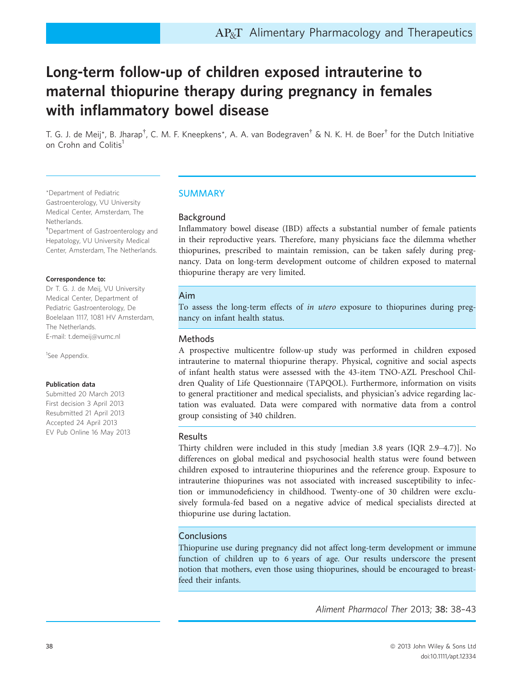# Long-term follow-up of children exposed intrauterine to maternal thiopurine therapy during pregnancy in females with inflammatory bowel disease

T. G. J. de Meij\*, B. Jharap<sup>†</sup>, C. M. F. Kneepkens\*, A. A. van Bodegraven<sup>†</sup> & N. K. H. de Boer<sup>†</sup> for the Dutch Initiative on Crohn and Colitis<sup>1</sup>

\*Department of Pediatric Gastroenterology, VU University Medical Center, Amsterdam, The **Netherlands** 

† Department of Gastroenterology and Hepatology, VU University Medical Center, Amsterdam, The Netherlands.

#### Correspondence to:

Dr T. G. J. de Meij, VU University Medical Center, Department of Pediatric Gastroenterology, De Boelelaan 1117, 1081 HV Amsterdam, The Netherlands. E-mail: t.demeij@vumc.nl

<sup>1</sup>See Appendix.

#### Publication data

Submitted 20 March 2013 First decision 3 April 2013 Resubmitted 21 April 2013 Accepted 24 April 2013 EV Pub Online 16 May 2013

## SUMMARY

## Background

Inflammatory bowel disease (IBD) affects a substantial number of female patients in their reproductive years. Therefore, many physicians face the dilemma whether thiopurines, prescribed to maintain remission, can be taken safely during pregnancy. Data on long-term development outcome of children exposed to maternal thiopurine therapy are very limited.

## Aim

To assess the long-term effects of in utero exposure to thiopurines during pregnancy on infant health status.

## Methods

A prospective multicentre follow-up study was performed in children exposed intrauterine to maternal thiopurine therapy. Physical, cognitive and social aspects of infant health status were assessed with the 43-item TNO-AZL Preschool Children Quality of Life Questionnaire (TAPQOL). Furthermore, information on visits to general practitioner and medical specialists, and physician's advice regarding lactation was evaluated. Data were compared with normative data from a control group consisting of 340 children.

## Results

Thirty children were included in this study [median 3.8 years (IQR 2.9–4.7)]. No differences on global medical and psychosocial health status were found between children exposed to intrauterine thiopurines and the reference group. Exposure to intrauterine thiopurines was not associated with increased susceptibility to infection or immunodeficiency in childhood. Twenty-one of 30 children were exclusively formula-fed based on a negative advice of medical specialists directed at thiopurine use during lactation.

# **Conclusions**

Thiopurine use during pregnancy did not affect long-term development or immune function of children up to 6 years of age. Our results underscore the present notion that mothers, even those using thiopurines, should be encouraged to breastfeed their infants.

Aliment Pharmacol Ther 2013; 38: 38–43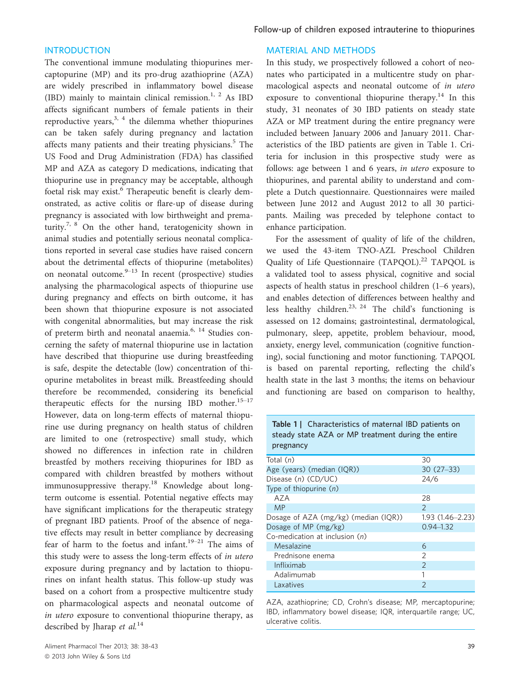## INTRODUCTION

The conventional immune modulating thiopurines mercaptopurine (MP) and its pro-drug azathioprine (AZA) are widely prescribed in inflammatory bowel disease (IBD) mainly to maintain clinical remission.<sup>1, 2</sup> As IBD affects significant numbers of female patients in their reproductive years,  $3, 4$  the dilemma whether thiopurines can be taken safely during pregnancy and lactation affects many patients and their treating physicians.<sup>5</sup> The US Food and Drug Administration (FDA) has classified MP and AZA as category D medications, indicating that thiopurine use in pregnancy may be acceptable, although foetal risk may exist.<sup>6</sup> Therapeutic benefit is clearly demonstrated, as active colitis or flare-up of disease during pregnancy is associated with low birthweight and prematurity.<sup>7, 8</sup> On the other hand, teratogenicity shown in animal studies and potentially serious neonatal complications reported in several case studies have raised concern about the detrimental effects of thiopurine (metabolites) on neonatal outcome. $9-13$  In recent (prospective) studies analysing the pharmacological aspects of thiopurine use during pregnancy and effects on birth outcome, it has been shown that thiopurine exposure is not associated with congenital abnormalities, but may increase the risk of preterm birth and neonatal anaemia.<sup>6, 14</sup> Studies concerning the safety of maternal thiopurine use in lactation have described that thiopurine use during breastfeeding is safe, despite the detectable (low) concentration of thiopurine metabolites in breast milk. Breastfeeding should therefore be recommended, considering its beneficial therapeutic effects for the nursing IBD mother. $15-17$ However, data on long-term effects of maternal thiopurine use during pregnancy on health status of children are limited to one (retrospective) small study, which showed no differences in infection rate in children breastfed by mothers receiving thiopurines for IBD as compared with children breastfed by mothers without immunosuppressive therapy.<sup>18</sup> Knowledge about longterm outcome is essential. Potential negative effects may have significant implications for the therapeutic strategy of pregnant IBD patients. Proof of the absence of negative effects may result in better compliance by decreasing fear of harm to the foetus and infant. $19-21$  The aims of this study were to assess the long-term effects of in utero exposure during pregnancy and by lactation to thiopurines on infant health status. This follow-up study was based on a cohort from a prospective multicentre study on pharmacological aspects and neonatal outcome of in utero exposure to conventional thiopurine therapy, as described by Jharap et  $al.^{14}$ 

## MATERIAL AND METHODS

In this study, we prospectively followed a cohort of neonates who participated in a multicentre study on pharmacological aspects and neonatal outcome of in utero exposure to conventional thiopurine therapy.<sup>14</sup> In this study, 31 neonates of 30 IBD patients on steady state AZA or MP treatment during the entire pregnancy were included between January 2006 and January 2011. Characteristics of the IBD patients are given in Table 1. Criteria for inclusion in this prospective study were as follows: age between 1 and 6 years, in utero exposure to thiopurines, and parental ability to understand and complete a Dutch questionnaire. Questionnaires were mailed between June 2012 and August 2012 to all 30 participants. Mailing was preceded by telephone contact to enhance participation.

For the assessment of quality of life of the children, we used the 43-item TNO-AZL Preschool Children Quality of Life Questionnaire (TAPQOL).<sup>22</sup> TAPQOL is a validated tool to assess physical, cognitive and social aspects of health status in preschool children (1–6 years), and enables detection of differences between healthy and less healthy children.23, 24 The child's functioning is assessed on 12 domains; gastrointestinal, dermatological, pulmonary, sleep, appetite, problem behaviour, mood, anxiety, energy level, communication (cognitive functioning), social functioning and motor functioning. TAPQOL is based on parental reporting, reflecting the child's health state in the last 3 months; the items on behaviour and functioning are based on comparison to healthy,

Table 1 | Characteristics of maternal IBD patients on steady state AZA or MP treatment during the entire pregnancy

| 30                  |
|---------------------|
| $30(27-33)$         |
| 24/6                |
|                     |
| 28                  |
| $\mathcal{P}$       |
| $1.93(1.46 - 2.23)$ |
| $0.94 - 1.32$       |
|                     |
| 6                   |
| $\overline{2}$      |
| $\overline{2}$      |
|                     |
| $\mathcal{P}$       |
|                     |

AZA, azathioprine; CD, Crohn's disease; MP, mercaptopurine; IBD, inflammatory bowel disease; IQR, interquartile range; UC, ulcerative colitis.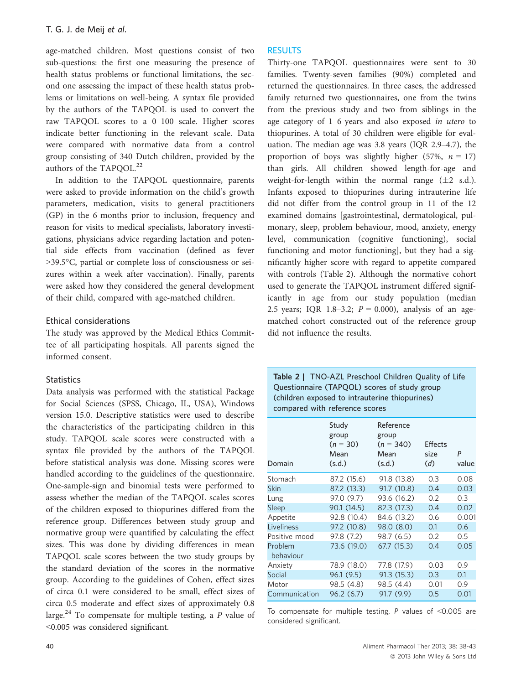age-matched children. Most questions consist of two sub-questions: the first one measuring the presence of health status problems or functional limitations, the second one assessing the impact of these health status problems or limitations on well-being. A syntax file provided by the authors of the TAPQOL is used to convert the raw TAPQOL scores to a 0–100 scale. Higher scores indicate better functioning in the relevant scale. Data were compared with normative data from a control group consisting of 340 Dutch children, provided by the authors of the TAPOOL.<sup>22</sup>

In addition to the TAPQOL questionnaire, parents were asked to provide information on the child's growth parameters, medication, visits to general practitioners (GP) in the 6 months prior to inclusion, frequency and reason for visits to medical specialists, laboratory investigations, physicians advice regarding lactation and potential side effects from vaccination (defined as fever >39.5°C, partial or complete loss of consciousness or seizures within a week after vaccination). Finally, parents were asked how they considered the general development of their child, compared with age-matched children.

## Ethical considerations

The study was approved by the Medical Ethics Committee of all participating hospitals. All parents signed the informed consent.

# **Statistics**

Data analysis was performed with the statistical Package for Social Sciences (SPSS, Chicago, IL, USA), Windows version 15.0. Descriptive statistics were used to describe the characteristics of the participating children in this study. TAPQOL scale scores were constructed with a syntax file provided by the authors of the TAPQOL before statistical analysis was done. Missing scores were handled according to the guidelines of the questionnaire. One-sample-sign and binomial tests were performed to assess whether the median of the TAPQOL scales scores of the children exposed to thiopurines differed from the reference group. Differences between study group and normative group were quantified by calculating the effect sizes. This was done by dividing differences in mean TAPQOL scale scores between the two study groups by the standard deviation of the scores in the normative group. According to the guidelines of Cohen, effect sizes of circa 0.1 were considered to be small, effect sizes of circa 0.5 moderate and effect sizes of approximately 0.8 large.<sup>24</sup> To compensate for multiple testing, a  $P$  value of <0.005 was considered significant.

## **RESULTS**

Thirty-one TAPQOL questionnaires were sent to 30 families. Twenty-seven families (90%) completed and returned the questionnaires. In three cases, the addressed family returned two questionnaires, one from the twins from the previous study and two from siblings in the age category of 1–6 years and also exposed in utero to thiopurines. A total of 30 children were eligible for evaluation. The median age was 3.8 years (IQR 2.9–4.7), the proportion of boys was slightly higher (57%,  $n = 17$ ) than girls. All children showed length-for-age and weight-for-length within the normal range  $(\pm 2 \text{ s.d.})$ . Infants exposed to thiopurines during intrauterine life did not differ from the control group in 11 of the 12 examined domains [gastrointestinal, dermatological, pulmonary, sleep, problem behaviour, mood, anxiety, energy level, communication (cognitive functioning), social functioning and motor functioning], but they had a significantly higher score with regard to appetite compared with controls (Table 2). Although the normative cohort used to generate the TAPQOL instrument differed significantly in age from our study population (median 2.5 years; IQR 1.8-3.2;  $P = 0.000$ ), analysis of an agematched cohort constructed out of the reference group did not influence the results.

| Table 2   TNO-AZL Preschool Children Quality of Life |
|------------------------------------------------------|
| Questionnaire (TAPQOL) scores of study group         |
| (children exposed to intrauterine thiopurines)       |
| compared with reference scores                       |

| Domain               | Study<br>group<br>$(n = 30)$<br>Mean<br>(s.d.) | Reference<br>group<br>$(n = 340)$<br>Mean<br>(s.d.) | Effects<br>size<br>(d) | P<br>value |
|----------------------|------------------------------------------------|-----------------------------------------------------|------------------------|------------|
|                      |                                                |                                                     |                        |            |
| Stomach              | 87.2 (15.6)                                    | 91.8 (13.8)                                         | 0.3                    | 0.08       |
| Skin                 | 87.2 (13.3)                                    | 91.7 (10.8)                                         | 0.4                    | 0.03       |
| Lung                 | 97.0 (9.7)                                     | 93.6 (16.2)                                         | 0.2                    | 0.3        |
| Sleep                | 90.1 (14.5)                                    | 82.3 (17.3)                                         | 0.4                    | 0.02       |
| Appetite             | 92.8 (10.4)                                    | 84.6 (13.2)                                         | 0.6                    | 0.001      |
| Liveliness           | 97.2 (10.8)                                    | 98.0 (8.0)                                          | 0.1                    | 0.6        |
| Positive mood        | 97.8 (7.2)                                     | 98.7 (6.5)                                          | 0.2                    | 0.5        |
| Problem<br>behaviour | 73.6 (19.0)                                    | 67.7 (15.3)                                         | 0.4                    | 0.05       |
| Anxiety              | 78.9 (18.0)                                    | 77.8 (17.9)                                         | 0.03                   | 0.9        |
| Social               | 96.1(9.5)                                      | 91.3(15.3)                                          | 0.3                    | 0.1        |
| Motor                | 98.5 (4.8)                                     | 98.5 (4.4)                                          | 0.01                   | 0.9        |
| Communication        | 96.2(6.7)                                      | 91.7(9.9)                                           | 0.5                    | 0.01       |

To compensate for multiple testing,  $P$  values of <0.005 are considered significant.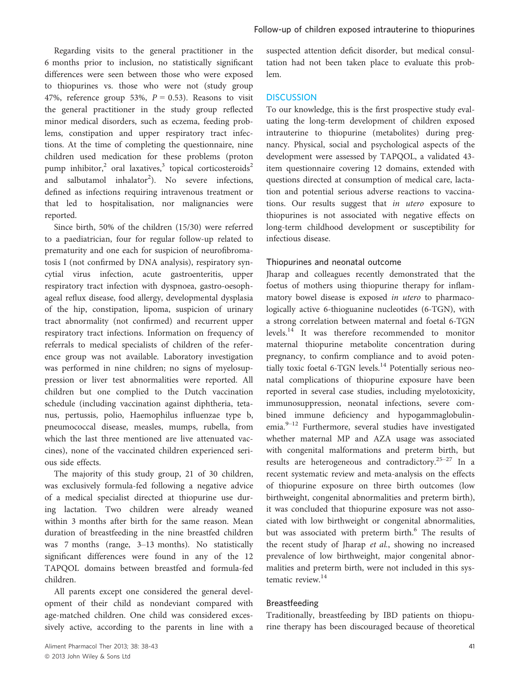Regarding visits to the general practitioner in the 6 months prior to inclusion, no statistically significant differences were seen between those who were exposed to thiopurines vs. those who were not (study group 47%, reference group 53%,  $P = 0.53$ ). Reasons to visit the general practitioner in the study group reflected minor medical disorders, such as eczema, feeding problems, constipation and upper respiratory tract infections. At the time of completing the questionnaire, nine children used medication for these problems (proton pump inhibitor,<sup>2</sup> oral laxatives,<sup>3</sup> topical corticosteroids<sup>2</sup> and salbutamol inhalator<sup>2</sup>). No severe infections, defined as infections requiring intravenous treatment or that led to hospitalisation, nor malignancies were reported.

Since birth, 50% of the children (15/30) were referred to a paediatrician, four for regular follow-up related to prematurity and one each for suspicion of neurofibromatosis I (not confirmed by DNA analysis), respiratory syncytial virus infection, acute gastroenteritis, upper respiratory tract infection with dyspnoea, gastro-oesophageal reflux disease, food allergy, developmental dysplasia of the hip, constipation, lipoma, suspicion of urinary tract abnormality (not confirmed) and recurrent upper respiratory tract infections. Information on frequency of referrals to medical specialists of children of the reference group was not available. Laboratory investigation was performed in nine children; no signs of myelosuppression or liver test abnormalities were reported. All children but one complied to the Dutch vaccination schedule (including vaccination against diphtheria, tetanus, pertussis, polio, Haemophilus influenzae type b, pneumococcal disease, measles, mumps, rubella, from which the last three mentioned are live attenuated vaccines), none of the vaccinated children experienced serious side effects.

The majority of this study group, 21 of 30 children, was exclusively formula-fed following a negative advice of a medical specialist directed at thiopurine use during lactation. Two children were already weaned within 3 months after birth for the same reason. Mean duration of breastfeeding in the nine breastfed children was 7 months (range, 3–13 months). No statistically significant differences were found in any of the 12 TAPQOL domains between breastfed and formula-fed children.

All parents except one considered the general development of their child as nondeviant compared with age-matched children. One child was considered excessively active, according to the parents in line with a

suspected attention deficit disorder, but medical consultation had not been taken place to evaluate this problem.

## **DISCUSSION**

To our knowledge, this is the first prospective study evaluating the long-term development of children exposed intrauterine to thiopurine (metabolites) during pregnancy. Physical, social and psychological aspects of the development were assessed by TAPQOL, a validated 43 item questionnaire covering 12 domains, extended with questions directed at consumption of medical care, lactation and potential serious adverse reactions to vaccinations. Our results suggest that in utero exposure to thiopurines is not associated with negative effects on long-term childhood development or susceptibility for infectious disease.

## Thiopurines and neonatal outcome

Jharap and colleagues recently demonstrated that the foetus of mothers using thiopurine therapy for inflammatory bowel disease is exposed in utero to pharmacologically active 6-thioguanine nucleotides (6-TGN), with a strong correlation between maternal and foetal 6-TGN levels.<sup>14</sup> It was therefore recommended to monitor maternal thiopurine metabolite concentration during pregnancy, to confirm compliance and to avoid potentially toxic foetal 6-TGN levels. $^{14}$  Potentially serious neonatal complications of thiopurine exposure have been reported in several case studies, including myelotoxicity, immunosuppression, neonatal infections, severe combined immune deficiency and hypogammaglobulinemia.<sup>9-12</sup> Furthermore, several studies have investigated whether maternal MP and AZA usage was associated with congenital malformations and preterm birth, but results are heterogeneous and contradictory.25–<sup>27</sup> In a recent systematic review and meta-analysis on the effects of thiopurine exposure on three birth outcomes (low birthweight, congenital abnormalities and preterm birth), it was concluded that thiopurine exposure was not associated with low birthweight or congenital abnormalities, but was associated with preterm birth.<sup>6</sup> The results of the recent study of Jharap et al., showing no increased prevalence of low birthweight, major congenital abnormalities and preterm birth, were not included in this systematic review.<sup>14</sup>

## Breastfeeding

Traditionally, breastfeeding by IBD patients on thiopurine therapy has been discouraged because of theoretical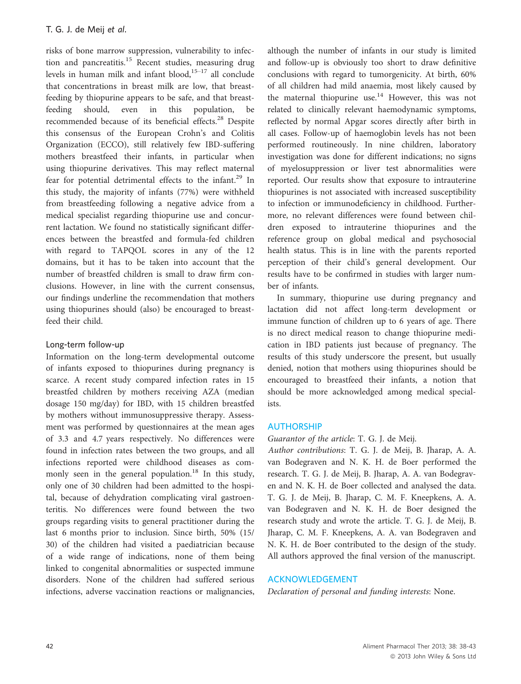risks of bone marrow suppression, vulnerability to infection and pancreatitis.<sup>15</sup> Recent studies, measuring drug levels in human milk and infant blood, $15-17$  all conclude that concentrations in breast milk are low, that breastfeeding by thiopurine appears to be safe, and that breastfeeding should, even in this population, be recommended because of its beneficial effects.<sup>28</sup> Despite this consensus of the European Crohn's and Colitis Organization (ECCO), still relatively few IBD-suffering mothers breastfeed their infants, in particular when using thiopurine derivatives. This may reflect maternal fear for potential detrimental effects to the infant.<sup>29</sup> In this study, the majority of infants (77%) were withheld from breastfeeding following a negative advice from a medical specialist regarding thiopurine use and concurrent lactation. We found no statistically significant differences between the breastfed and formula-fed children with regard to TAPQOL scores in any of the 12 domains, but it has to be taken into account that the number of breastfed children is small to draw firm conclusions. However, in line with the current consensus, our findings underline the recommendation that mothers using thiopurines should (also) be encouraged to breastfeed their child.

## Long-term follow-up

Information on the long-term developmental outcome of infants exposed to thiopurines during pregnancy is scarce. A recent study compared infection rates in 15 breastfed children by mothers receiving AZA (median dosage 150 mg/day) for IBD, with 15 children breastfed by mothers without immunosuppressive therapy. Assessment was performed by questionnaires at the mean ages of 3.3 and 4.7 years respectively. No differences were found in infection rates between the two groups, and all infections reported were childhood diseases as commonly seen in the general population.<sup>18</sup> In this study, only one of 30 children had been admitted to the hospital, because of dehydration complicating viral gastroenteritis. No differences were found between the two groups regarding visits to general practitioner during the last 6 months prior to inclusion. Since birth, 50% (15/ 30) of the children had visited a paediatrician because of a wide range of indications, none of them being linked to congenital abnormalities or suspected immune disorders. None of the children had suffered serious infections, adverse vaccination reactions or malignancies, although the number of infants in our study is limited and follow-up is obviously too short to draw definitive conclusions with regard to tumorgenicity. At birth, 60% of all children had mild anaemia, most likely caused by the maternal thiopurine use.<sup>14</sup> However, this was not related to clinically relevant haemodynamic symptoms, reflected by normal Apgar scores directly after birth in all cases. Follow-up of haemoglobin levels has not been performed routineously. In nine children, laboratory investigation was done for different indications; no signs of myelosuppression or liver test abnormalities were reported. Our results show that exposure to intrauterine thiopurines is not associated with increased susceptibility to infection or immunodeficiency in childhood. Furthermore, no relevant differences were found between children exposed to intrauterine thiopurines and the reference group on global medical and psychosocial health status. This is in line with the parents reported perception of their child's general development. Our results have to be confirmed in studies with larger number of infants.

In summary, thiopurine use during pregnancy and lactation did not affect long-term development or immune function of children up to 6 years of age. There is no direct medical reason to change thiopurine medication in IBD patients just because of pregnancy. The results of this study underscore the present, but usually denied, notion that mothers using thiopurines should be encouraged to breastfeed their infants, a notion that should be more acknowledged among medical specialists.

## AUTHORSHIP

#### Guarantor of the article: T. G. J. de Meij.

Author contributions: T. G. J. de Meij, B. Jharap, A. A. van Bodegraven and N. K. H. de Boer performed the research. T. G. J. de Meij, B. Jharap, A. A. van Bodegraven and N. K. H. de Boer collected and analysed the data. T. G. J. de Meij, B. Jharap, C. M. F. Kneepkens, A. A. van Bodegraven and N. K. H. de Boer designed the research study and wrote the article. T. G. J. de Meij, B. Jharap, C. M. F. Kneepkens, A. A. van Bodegraven and N. K. H. de Boer contributed to the design of the study. All authors approved the final version of the manuscript.

## ACKNOWLEDGEMENT

Declaration of personal and funding interests: None.